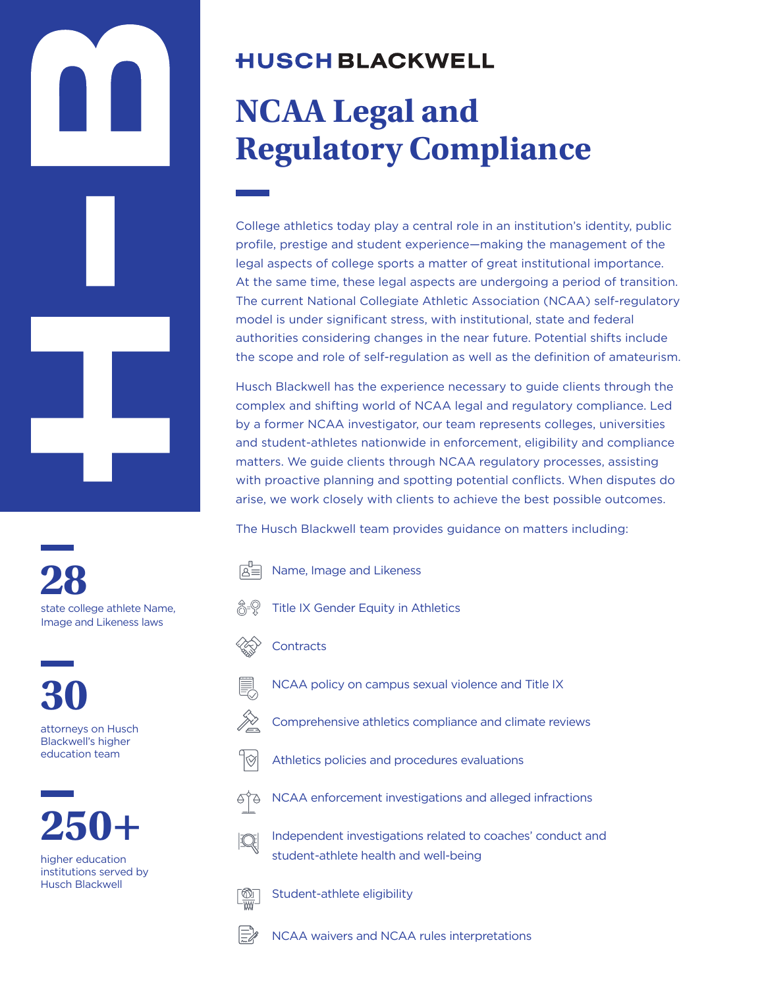# **HUSCH BLACKWELL**

# **NCAA Legal and Regulatory Compliance**

College athletics today play a central role in an institution's identity, public profile, prestige and student experience—making the management of the legal aspects of college sports a matter of great institutional importance. At the same time, these legal aspects are undergoing a period of transition. The current National Collegiate Athletic Association (NCAA) self-regulatory model is under significant stress, with institutional, state and federal authorities considering changes in the near future. Potential shifts include the scope and role of self-regulation as well as the definition of amateurism.

Husch Blackwell has the experience necessary to guide clients through the complex and shifting world of NCAA legal and regulatory compliance. Led by a former NCAA investigator, our team represents colleges, universities and student-athletes nationwide in enforcement, eligibility and compliance matters. We guide clients through NCAA regulatory processes, assisting with proactive planning and spotting potential conflicts. When disputes do arise, we work closely with clients to achieve the best possible outcomes.

The Husch Blackwell team provides guidance on matters including:

**28** state college athlete Name, Image and Likeness laws

**30** attorneys on Husch Blackwell's higher education team



higher education institutions served by Husch Blackwell



Name, Image and Likeness



**Contracts** 



JS.

k

- NCAA policy on campus sexual violence and Title IX
- Comprehensive athletics compliance and climate reviews
- Athletics policies and procedures evaluations



NCAA enforcement investigations and alleged infractions



<u>[Ŵ</u>

Independent investigations related to coaches' conduct and student-athlete health and well-being

Student-athlete eligibility



NCAA waivers and NCAA rules interpretations